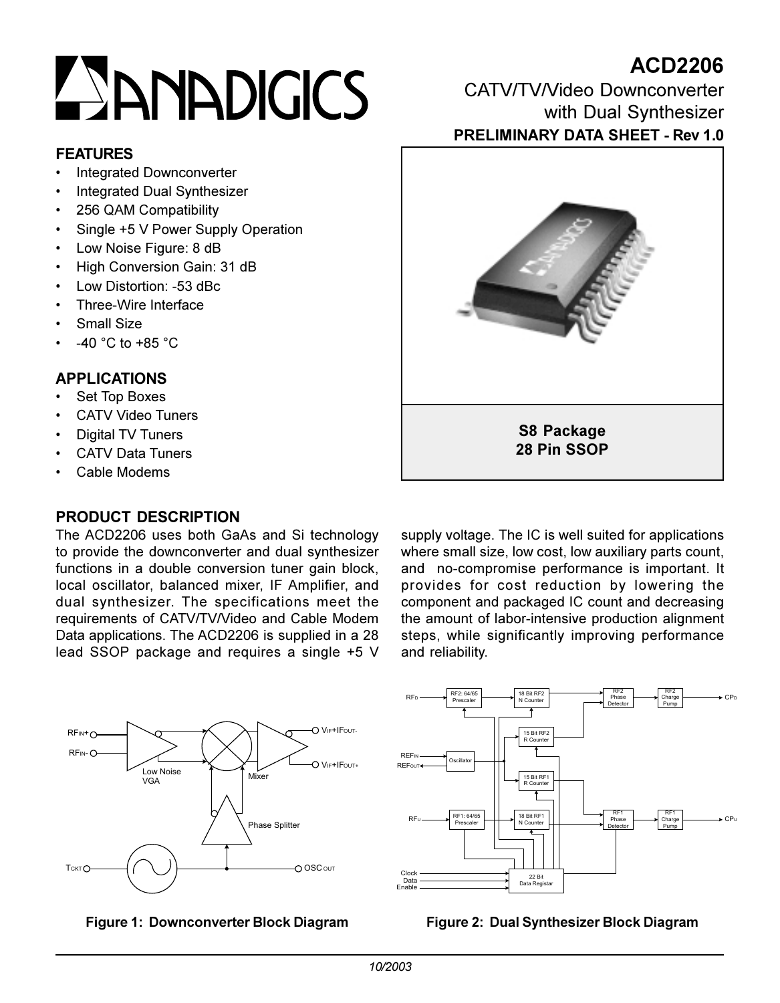# **ESANADIGICS**

# **FEATURES**

- **Integrated Downconverter**
- **Integrated Dual Synthesizer**
- 256 QAM Compatibility
- Single +5 V Power Supply Operation
- Low Noise Figure: 8 dB
- High Conversion Gain: 31 dB
- Low Distortion: -53 dBc  $\bullet$
- Three-Wire Interface
- Small Size
- -40 °C to +85 °C

# **APPI ICATIONS**

- Set Top Boxes
- **CATV Video Tuners**
- **Digital TV Tuners**
- **CATV Data Tuners**
- Cable Modems

# PRODUCT DESCRIPTION

The ACD2206 uses both GaAs and Si technology to provide the downconverter and dual synthesizer functions in a double conversion tuner gain block, local oscillator, balanced mixer, IF Amplifier, and dual synthesizer. The specifications meet the requirements of CATV/TV/Video and Cable Modem Data applications. The ACD2206 is supplied in a 28 lead SSOP package and requires a single +5 V supply voltage. The IC is well suited for applications where small size, low cost, low auxiliary parts count, and no-compromise performance is important. It provides for cost reduction by lowering the component and packaged IC count and decreasing the amount of labor-intensive production alignment steps, while significantly improving performance and reliability.







# CATV/TV/Video Downconverter with Dual Synthesizer **PRELIMINARY DATA SHEET - Rev 1.0**

**ACD2206** 



Figure 2: Dual Synthesizer Block Diagram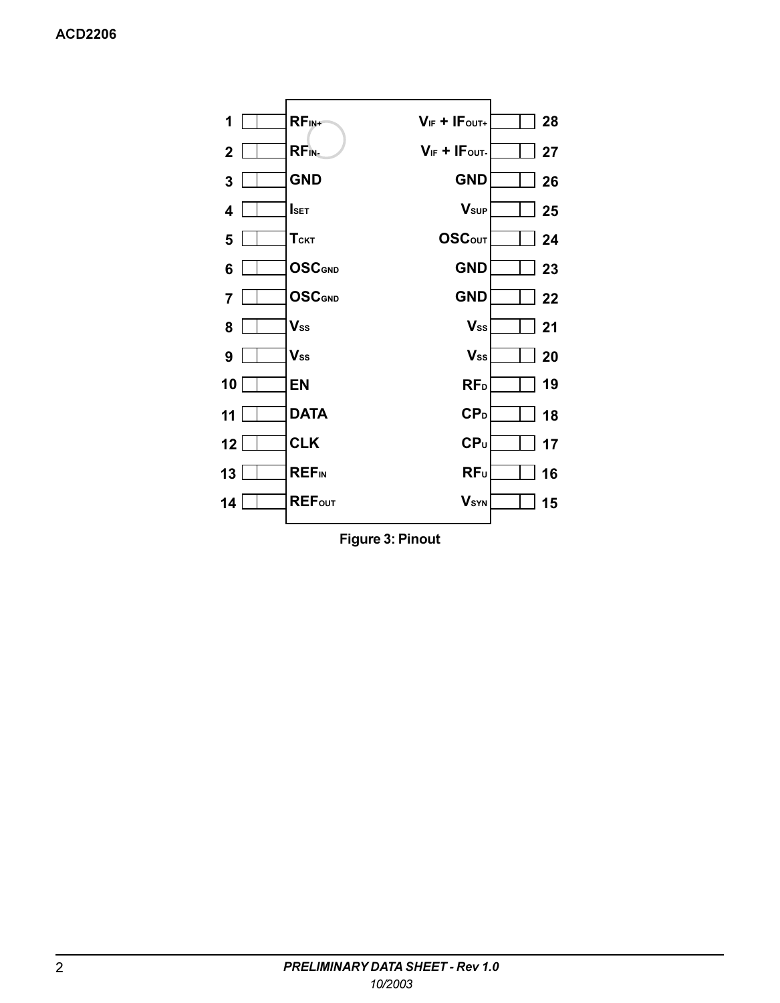

**Figure 3: Pinout**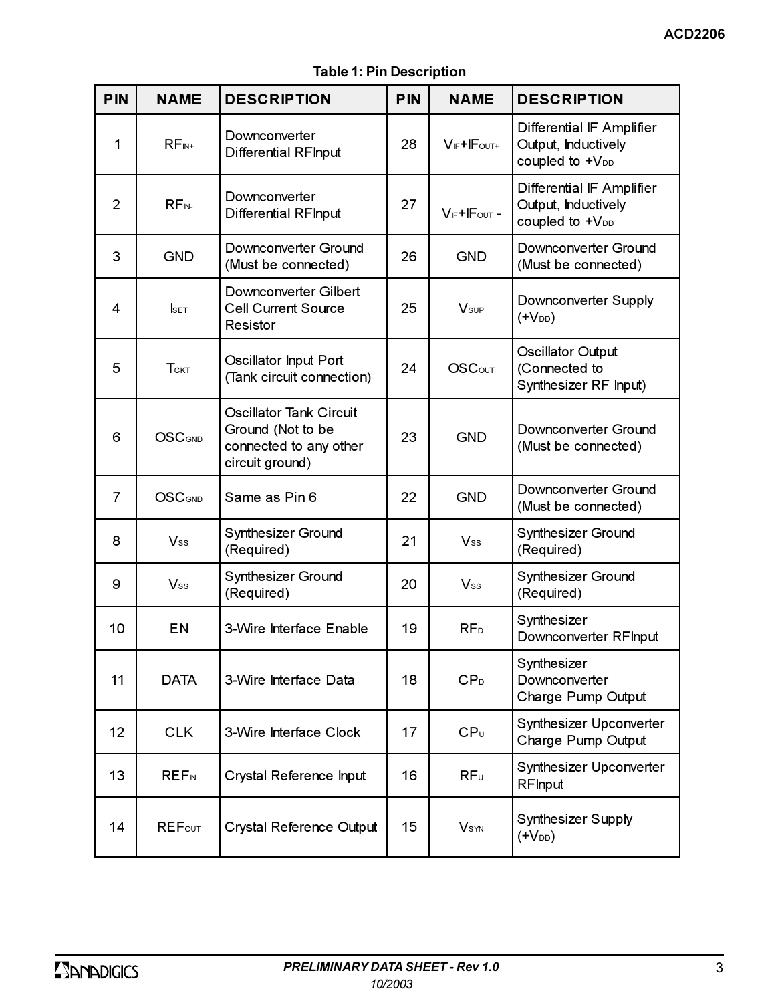**Table 1: Pin Description** 

| PIN | <b>NAME</b>             | <b>DESCRIPTION</b>                                                                        | <b>PIN</b> | <b>NAME</b>        | <b>DESCRIPTION</b>                                                              |
|-----|-------------------------|-------------------------------------------------------------------------------------------|------------|--------------------|---------------------------------------------------------------------------------|
| 1   | $RF_{IN+}$              | Downconverter<br>Differential RFInput                                                     | 28         | $V_F + IF_{OUT+}$  | Differential IF Amplifier<br>Output, Inductively<br>coupled to +V <sub>DD</sub> |
| 2   | RF <sub>IN</sub>        | Downconverter<br>Differential RFInput                                                     | 27         | $V_F + IF_{OUT} -$ | Differential IF Amplifier<br>Output, Inductively<br>coupled to +V <sub>DD</sub> |
| 3   | GND                     | Downconverter Ground<br>(Must be connected)                                               | 26         | <b>GND</b>         | Downconverter Ground<br>(Must be connected)                                     |
| 4   | <b>SET</b>              | Downconverter Gilbert<br><b>Cell Current Source</b><br>Resistor                           | 25         | Vsup               | Downconverter Supply<br>(+V <sub>DD</sub> )                                     |
| 5   | $T$ скт                 | Oscillator Input Port<br>(Tank circuit connection)                                        | 24         | <b>OSCout</b>      | Oscillator Output<br>(Connected to<br>Synthesizer RF Input)                     |
| 6   | <b>OSC</b> GND          | Oscillator Tank Circuit<br>Ground (Not to be<br>connected to any other<br>circuit ground) | 23         | <b>GND</b>         | Downconverter Ground<br>(Must be connected)                                     |
| 7   | <b>OSCGND</b>           | Same as Pin 6                                                                             | 22         | <b>GND</b>         | Downconverter Ground<br>(Must be connected)                                     |
| 8   | $V_{ss}$                | Synthesizer Ground<br>(Required)                                                          | 21         | $V_{ss}$           | Synthesizer Ground<br>(Required)                                                |
| 9   | $V_{ss}$                | Synthesizer Ground<br>(Required)                                                          | 20         | $V_{ss}$           | Synthesizer Ground<br>(Required)                                                |
| 10  | ΕN                      | 3-Wire Interface Enable                                                                   | 19         | RF <sub>D</sub>    | Synthesizer<br>Downconverter RFInput                                            |
| 11  | <b>DATA</b>             | 3-Wire Interface Data                                                                     | 18         | CP <sub>D</sub>    | Synthesizer<br>Downconverter<br>Charge Pump Output                              |
| 12  | <b>CLK</b>              | 3-Wire Interface Clock                                                                    | 17         | CP <sub>U</sub>    | Synthesizer Upconverter<br>Charge Pump Output                                   |
| 13  | <b>REF<sub>IN</sub></b> | Crystal Reference Input                                                                   | 16         | RFU                | Synthesizer Upconverter<br>RFInput                                              |
| 14  | <b>REFour</b>           | Crystal Reference Output                                                                  | 15         | V <sub>syn</sub>   | Synthesizer Supply<br>$($ + $V_{DD})$                                           |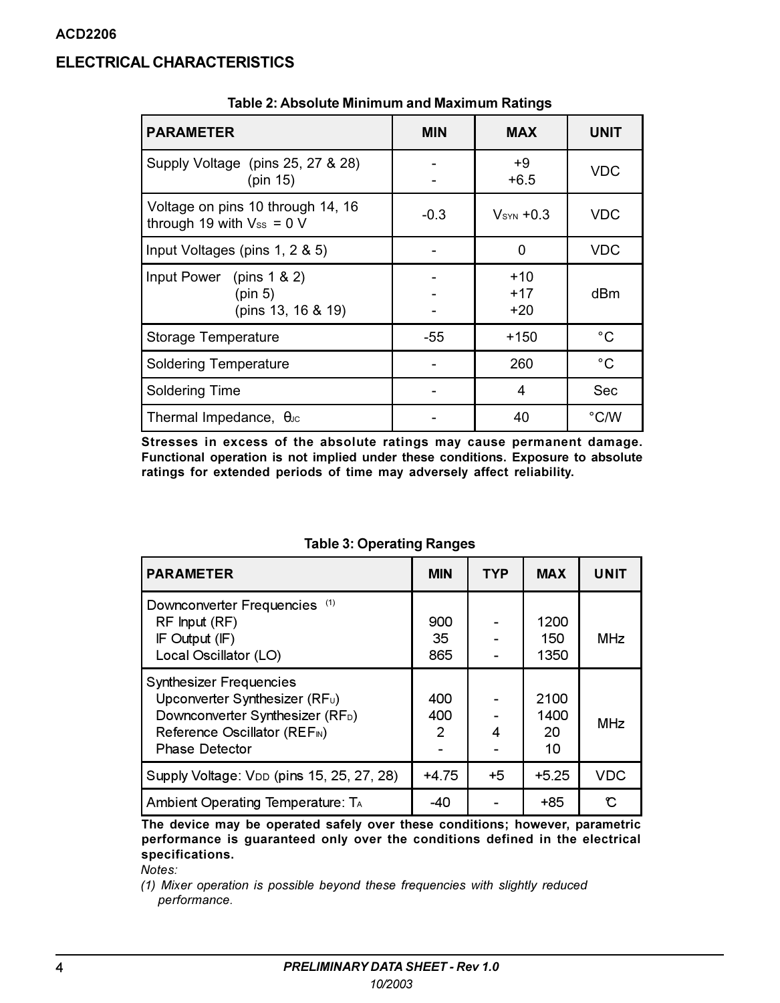# **ELECTRICAL CHARACTERISTICS**

| <b>PARAMETER</b>                                                    | <b>MIN</b> | <b>MAX</b>                  | <b>UNIT</b>  |  |  |
|---------------------------------------------------------------------|------------|-----------------------------|--------------|--|--|
| Supply Voltage (pins 25, 27 & 28)<br>(pin 15)                       |            | $+9$<br>$+6.5$              | <b>VDC</b>   |  |  |
| Voltage on pins 10 through 14, 16<br>through 19 with $V_{ss} = 0$ V | $-0.3$     | $V_{s}$ <sub>N</sub> $+0.3$ | VDC          |  |  |
| Input Voltages (pins 1, 2 & 5)                                      |            | 0                           |              |  |  |
| Input Power (pins $1 & 2$ )<br>(pin 5)<br>(pins 13, 16 & 19)        |            | $+10$<br>$+17$<br>+20       | dBm          |  |  |
| Storage Temperature                                                 | -55        | $+150$                      | °C           |  |  |
| <b>Soldering Temperature</b>                                        |            | 260                         | $^{\circ}$ C |  |  |
| Soldering Time                                                      |            | 4                           | Sec          |  |  |
| Thermal Impedance, $\theta$ Jc                                      |            | 40                          | °C/W         |  |  |

Table 2: Absolute Minimum and Maximum Ratings

Stresses in excess of the absolute ratings may cause permanent damage. Functional operation is not implied under these conditions. Exposure to absolute ratings for extended periods of time may adversely affect reliability.

| <b>PARAMETER</b>                                                                                                                                                                                  | <b>MIN</b>       | <b>TYP</b> | <b>MAX</b>               | <b>UNIT</b> |
|---------------------------------------------------------------------------------------------------------------------------------------------------------------------------------------------------|------------------|------------|--------------------------|-------------|
| Downconverter Frequencies (1)<br>$RF$ Input $(RF)$<br>IF Output (IF)<br>Local Oscillator (LO)                                                                                                     | 900<br>35<br>865 |            | 1200<br>150<br>1350      | <b>MHz</b>  |
| <b>Synthesizer Frequencies</b><br>Upconverter Synthesizer (RF <sub>u</sub> )<br>Downconverter Synthesizer (RF <sub>D</sub> )<br>Reference Oscillator (REF <sub>N</sub> )<br><b>Phase Detector</b> | 400<br>400<br>2  | 4          | 2100<br>1400<br>20<br>10 | <b>MHz</b>  |
| Supply Voltage: V <sub>DD</sub> (pins 15, 25, 27, 28)                                                                                                                                             | $+4.75$          | +5         | $+5.25$                  | <b>VDC</b>  |
| Ambient Operating Temperature: T <sub>A</sub>                                                                                                                                                     | $-40$            |            | +85                      | r.          |

**Table 3: Operating Ranges** 

The device may be operated safely over these conditions; however, parametric performance is guaranteed only over the conditions defined in the electrical specifications.

Notes:

<sup>(1)</sup> Mixer operation is possible beyond these frequencies with slightly reduced performance.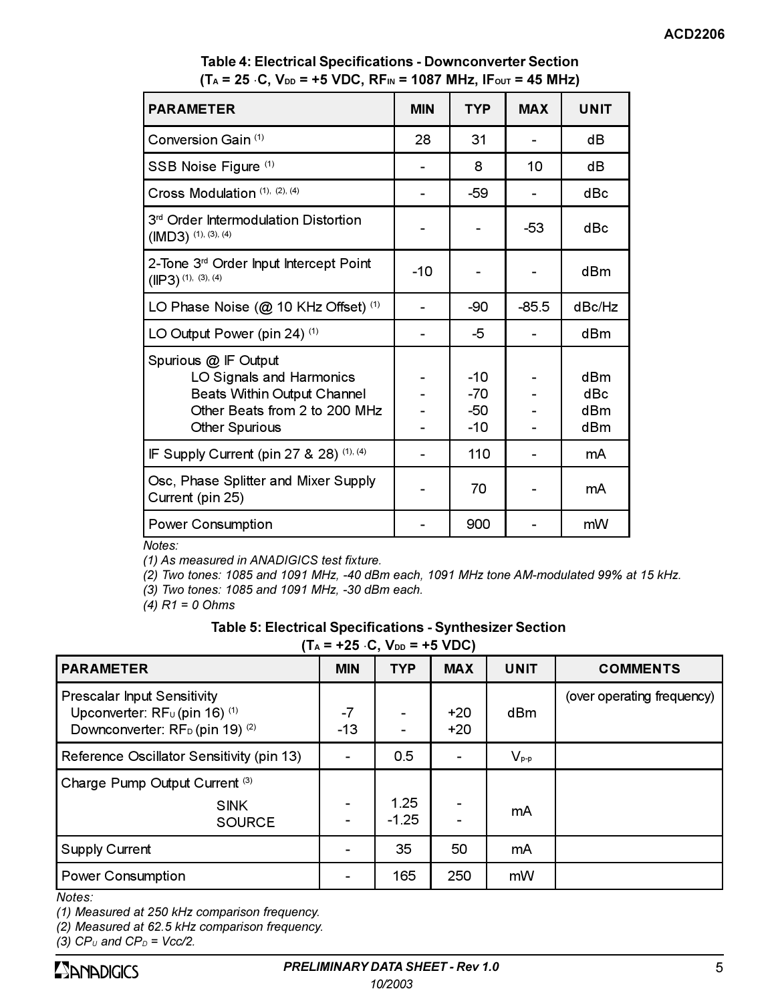| <b>PARAMETER</b>                                                                                                                   | <b>MIN</b> | <b>TYP</b>                     | <b>MAX</b> | <b>UNIT</b>              |
|------------------------------------------------------------------------------------------------------------------------------------|------------|--------------------------------|------------|--------------------------|
| Conversion Gain (1)                                                                                                                | 28         | 31                             |            | dB                       |
| SSB Noise Figure (1)                                                                                                               |            | 8                              | 10         | dВ                       |
| Cross Modulation (1), (2), (4)                                                                                                     |            | -59                            |            | dBc                      |
| 3 <sup>rd</sup> Order Intermodulation Distortion<br>$(IMD3)$ (1), (3), (4)                                                         |            |                                | -53        | dBc                      |
| 2-Tone 3 <sup>rd</sup> Order Input Intercept Point<br>$(IP3)$ (1), (3), (4)                                                        | $-10$      |                                |            | dBm                      |
| LO Phase Noise (@ 10 KHz Offset) (1)                                                                                               |            | -90                            | $-85.5$    | dBc/Hz                   |
| LO Output Power (pin 24) (1)                                                                                                       |            | -5                             |            | dBm                      |
| Spurious @ IF Output<br>LO Signals and Harmonics<br>Beats Within Output Channel<br>Other Beats from 2 to 200 MHz<br>Other Spurious |            | $-10$<br>$-70$<br>-50<br>$-10$ |            | dBm<br>dBc<br>dBm<br>dBm |
| IF Supply Current (pin 27 & 28) (1), (4)                                                                                           |            | 110                            |            | mA                       |
| Osc, Phase Splitter and Mixer Supply<br>Current (pin 25)                                                                           |            | 70                             |            | mA                       |
| <b>Power Consumption</b><br>$M$ otoc $\cdot$                                                                                       |            | 900                            |            | mW                       |

# Table 4: Electrical Specifications - Downconverter Section  $(T_A = 25 \cdot C, V_{DD} = +5 \text{ VDC}, RF_{IN} = 1087 \text{ MHz}, IF_{OUT} = 45 \text{ MHz})$

Notes:

(1) As measured in ANADIGICS test fixture.

(2) Two tones: 1085 and 1091 MHz, -40 dBm each, 1091 MHz tone AM-modulated 99% at 15 kHz.

(3) Two tones: 1085 and 1091 MHz, -30 dBm each.

 $(4)$  R1 = 0 Ohms

### Table 5: Electrical Specifications - Synthesizer Section

 $(T_0 = +25 \cdot C \cdot V_{\text{DD}} = +5 \text{ VDC})$ 

| .                                                                                                                                 | - - - - - - - |                 |                |             |                            |
|-----------------------------------------------------------------------------------------------------------------------------------|---------------|-----------------|----------------|-------------|----------------------------|
| <b>PARAMETER</b>                                                                                                                  | <b>MIN</b>    | <b>TYP</b>      | <b>MAX</b>     | <b>UNIT</b> | <b>COMMENTS</b>            |
| <b>Prescalar Input Sensitivity</b><br>Upconverter: $RFU$ (pin 16) $(1)$<br>Downconverter: RF <sub>D</sub> (pin 19) <sup>(2)</sup> | -7<br>$-13$   |                 | $+20$<br>$+20$ | dBm         | (over operating frequency) |
| Reference Oscillator Sensitivity (pin 13)                                                                                         |               | 0.5             |                | $V_{p-p}$   |                            |
| Charge Pump Output Current (3)<br><b>SINK</b><br><b>SOURCE</b>                                                                    | ۰             | 1.25<br>$-1.25$ |                | mA          |                            |
| Supply Current                                                                                                                    |               | 35              | 50             | mA          |                            |
| Power Consumption                                                                                                                 |               | 165             | 250            | mW          |                            |
|                                                                                                                                   |               |                 |                |             |                            |

 $Notes:$ 

(1) Measured at 250 kHz comparison frequency.

(2) Measured at 62.5 kHz comparison frequency.

(3)  $CP_U$  and  $CP_D$  = Vcc/2.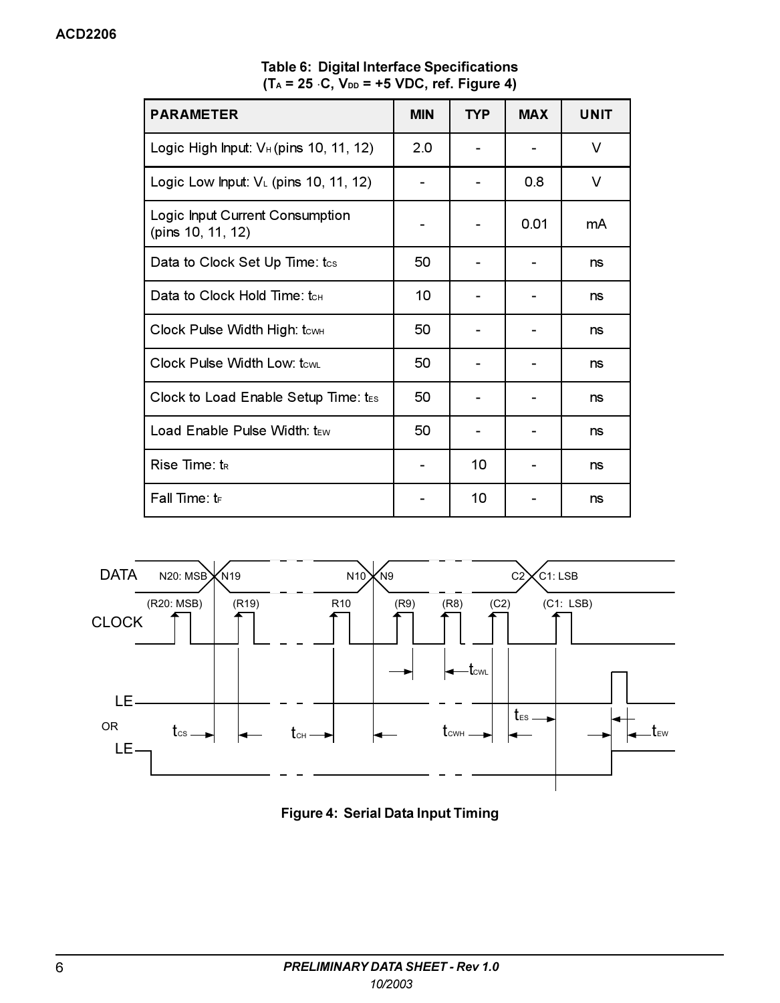| <b>PARAMETER</b>                                     | <b>MIN</b> | <b>TYP</b> | <b>MAX</b> | <b>UNIT</b> |
|------------------------------------------------------|------------|------------|------------|-------------|
| Logic High Input: $V_H$ (pins 10, 11, 12)            | 2.0        |            |            | V           |
| Logic Low Input: $V_l$ (pins 10, 11, 12)             |            |            | 0.8        | V           |
| Logic Input Current Consumption<br>(pins 10, 11, 12) |            |            | 0.01       | mA          |
| Data to Clock Set Up Time: tcs                       | 50         |            |            | ns          |
| Data to Clock Hold Time: tcH                         | 10         |            |            | ns          |
| Clock Pulse Width High: tcwH                         | 50         |            |            | ns          |
| Clock Pulse Width Low: tcw.                          | 50         |            |            | ns          |
| Clock to Load Enable Setup Time: $t_{ES}$            | 50         |            |            | ns          |
| Load Enable Pulse Width: tew                         | 50         |            |            | ns          |
| Rise Time: t <sub>R</sub>                            |            | 10         |            | ns          |
| Fall Time: $t_F$                                     |            | 10         |            | ns          |

Table 6: Digital Interface Specifications<br>(T<sub>A</sub> = 25 ·C, V<sub>DD</sub> = +5 VDC, ref. Figure 4)



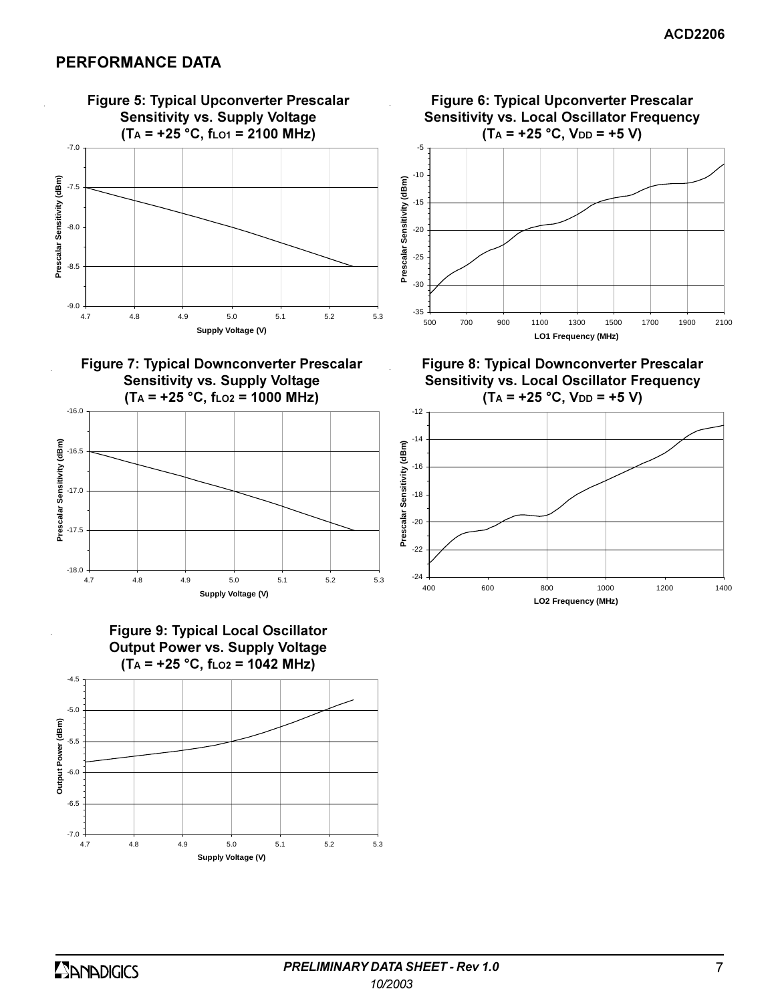# PERFORMANCE DATA













**Figure 8: Typical Downconverter Prescalar** Sensitivity vs. Local Oscillator Frequency  $(T_A = +25 °C, V_{DD} = +5 V)$ 

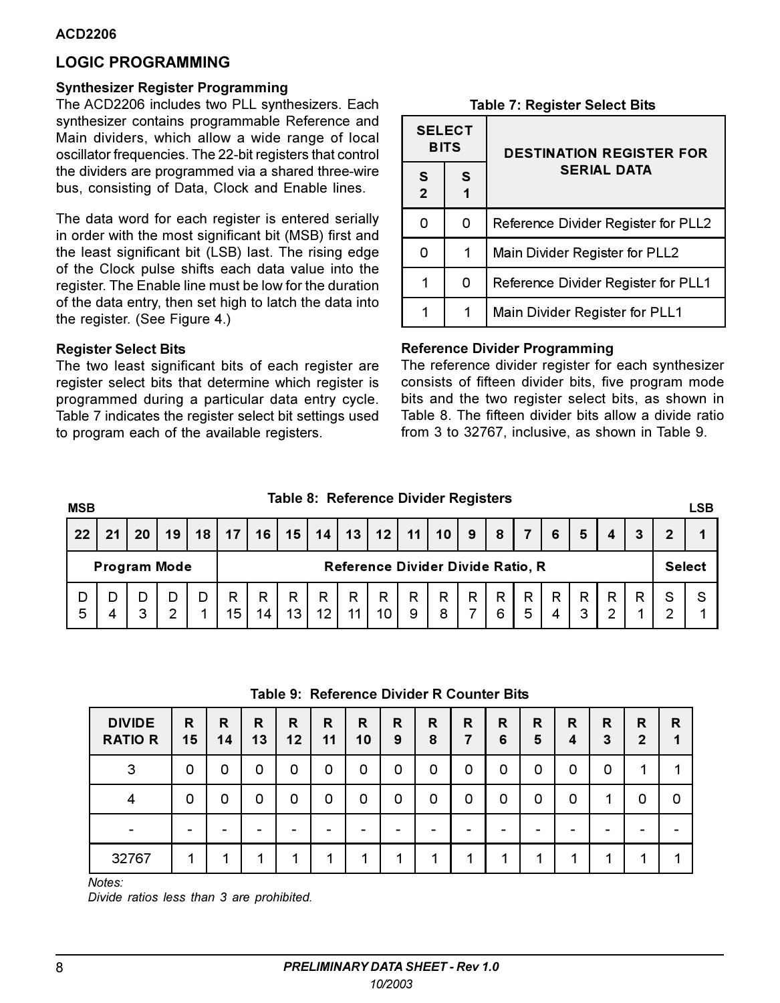# **LOGIC PROGRAMMING**

### **Synthesizer Register Programming**

The ACD2206 includes two PLL synthesizers. Each synthesizer contains programmable Reference and Main dividers, which allow a wide range of local oscillator frequencies. The 22-bit registers that control the dividers are programmed via a shared three-wire bus, consisting of Data, Clock and Enable lines.

The data word for each register is entered serially in order with the most significant bit (MSB) first and the least significant bit (LSB) last. The rising edge of the Clock pulse shifts each data value into the register. The Enable line must be low for the duration of the data entry, then set high to latch the data into the register. (See Figure 4.)

### **Register Select Bits**

The two least significant bits of each register are register select bits that determine which register is programmed during a particular data entry cycle. Table 7 indicates the register select bit settings used to program each of the available registers.

**Table 7: Register Select Bits** 

|                     | <b>SELECT</b><br><b>BITS</b> | <b>DESTINATION REGISTER FOR</b>     |  |  |  |  |  |  |
|---------------------|------------------------------|-------------------------------------|--|--|--|--|--|--|
| S<br>$\overline{2}$ | S                            | <b>SERIAL DATA</b>                  |  |  |  |  |  |  |
| n                   | 0                            | Reference Divider Register for PLL2 |  |  |  |  |  |  |
|                     | 1                            | Main Divider Register for PLL2      |  |  |  |  |  |  |
|                     | O                            | Reference Divider Register for PLL1 |  |  |  |  |  |  |
|                     |                              | Main Divider Register for PLL1      |  |  |  |  |  |  |

## **Reference Divider Programming**

The reference divider register for each synthesizer consists of fifteen divider bits, five program mode bits and the two register select bits, as shown in Table 8. The fifteen divider bits allow a divide ratio from 3 to 32767, inclusive, as shown in Table 9.

# Table 8: Reference Divider Registers

**MSB LSB** 22  $21$ 20 19 18  $17$ 16 15 14  $13$  $12$  $11$  $10$  $9$ 8  $\overline{7}$ 6 5  $\overline{4}$ 3  $\overline{2}$ 1 **Program Mode** Reference Divider Divide Ratio, R **Select** D D R R R R  $\mathsf{R}$  $\mathsf{R}$  $\overline{R}$ R R R R R R R S S D D D R 5  $\overline{\mathbf{A}}$ 3  $\overline{2}$ 1 15  $14$  $13$  $12$  $11$ 10 9 8  $\overline{7}$ 6 5  $\overline{\mathbf{A}}$ 3  $\overline{2}$ 1  $\overline{2}$ 1

### Table 9: Reference Divider R Counter Bits

| <b>DIVIDE</b><br><b>RATIO R</b> | R<br>15 | R<br>14 | R<br>13 | R<br>12 | R<br>11 | R<br>10 | R<br>9 | R<br>8 | R | R<br>6 | R<br>5 | R<br>4 | R<br>3 | R<br>$\overline{2}$ | R |
|---------------------------------|---------|---------|---------|---------|---------|---------|--------|--------|---|--------|--------|--------|--------|---------------------|---|
| 3                               | O       | 0       | O       | O       | 0       | 0       | 0      | 0      | ο | 0      | 0      | 0      | 0      | и                   |   |
|                                 | O       | O       | O       | O       | 0       | 0       | 0      | 0      | 0 | O      | 0      | 0      | 1      | 0                   |   |
|                                 |         |         |         | -       |         |         |        |        |   |        |        |        |        |                     |   |
| 32767                           |         |         |         | л       | 1       |         | л      |        |   | л      | и      |        |        |                     |   |

Notes:

Divide ratios less than 3 are prohibited.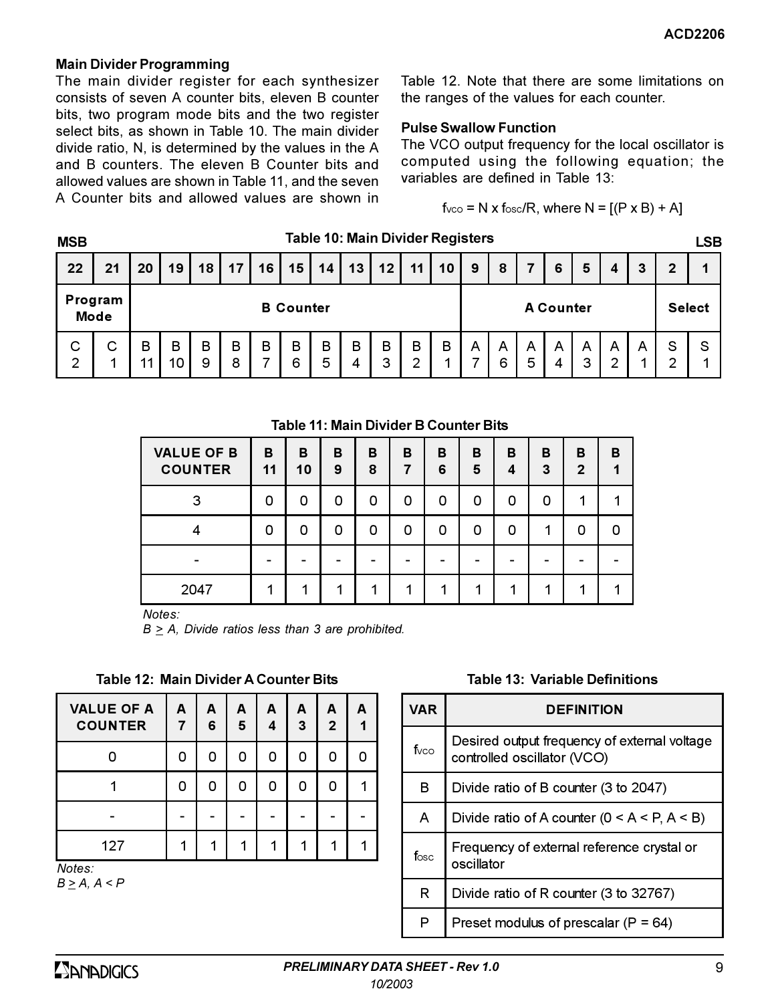### **Main Divider Programming**

The main divider register for each synthesizer consists of seven A counter bits, eleven B counter bits, two program mode bits and the two register select bits, as shown in Table 10. The main divider divide ratio, N, is determined by the values in the A and B counters. The eleven B Counter bits and allowed values are shown in Table 11, and the seven A Counter bits and allowed values are shown in Table 12. Note that there are some limitations on the ranges of the values for each counter.

### **Pulse Swallow Function**

The VCO output frequency for the local oscillator is computed using the following equation; the variables are defined in Table  $13<sup>7</sup>$ 

 $f_{VCO} = N \times f_{OSC}/R$ , where  $N = [(P \times B) + A]$ 

| <b>MSB</b>          |                        |                  |         |        |        |    |        |        | Table 10: Main Divider Registers |                  |        |    |        |        |        |        |        |               |   |        | LSB    |
|---------------------|------------------------|------------------|---------|--------|--------|----|--------|--------|----------------------------------|------------------|--------|----|--------|--------|--------|--------|--------|---------------|---|--------|--------|
| 22                  | 21                     | 20               | 19      | 18     | 17     | 16 | 15     | 14     | 13                               | 12               | 11     | 10 | 9      | 8      |        | 6      | 5      | 4             | 3 | 2      |        |
|                     | Program<br><b>Mode</b> | <b>B</b> Counter |         |        |        |    |        |        |                                  | <b>A Counter</b> |        |    |        |        |        |        |        | <b>Select</b> |   |        |        |
| C<br>$\overline{2}$ | с<br>◢                 | в<br>11          | B<br>10 | B<br>9 | B<br>8 | B  | B<br>6 | B<br>5 | B<br>4                           | В<br>3           | B<br>⌒ | B  | A<br>– | A<br>6 | A<br>5 | A<br>4 | A<br>3 | A<br>ົ        | A | S<br>◠ | S<br>× |

### Table 11: Main Divider B Counter Bits

| <b>VALUE OF B</b><br><b>COUNTER</b> | B<br>11 | в<br>10 | в<br>9 | B<br>8 | в<br>7 | в<br>6 | B<br>5 | в<br>Δ | в<br>3 | в<br>$\mathbf{2}$ | в |
|-------------------------------------|---------|---------|--------|--------|--------|--------|--------|--------|--------|-------------------|---|
| 3                                   | n       | 0       | 0      | O      | 0      | O      | O      | O      | n      |                   |   |
|                                     | n       | O       | n      | O      | O      | O      | n      | O      |        | O                 | n |
|                                     |         |         |        |        |        |        |        |        |        |                   |   |
| 2047                                |         |         |        |        |        |        |        |        |        |                   |   |

Notes:

 $B \geq A$ , Divide ratios less than 3 are prohibited.

Table 12: Main Divider A Counter Bits

| <b>VALUE OF A</b><br><b>COUNTER</b> | A<br>7 | А<br>6 | A<br>5 | A<br>4 | A<br>-3 | A<br>$\overline{2}$ | A |
|-------------------------------------|--------|--------|--------|--------|---------|---------------------|---|
|                                     | ი      | 0      | O      | 0      | n       | ი                   |   |
|                                     | ი      | 0      | O      | O      | n       | ი                   |   |
|                                     |        |        |        |        |         |                     |   |
| 127                                 |        |        |        |        |         |                     |   |
| Notes:                              |        |        |        |        |         |                     |   |

 $B \geq A$ ,  $A \leq P$ 

Table 13: Variable Definitions

| <b>VAR</b>       | <b>DEFINITION</b>                                                           |
|------------------|-----------------------------------------------------------------------------|
| fvco             | Desired output frequency of external voltage<br>controlled oscillator (VCO) |
| в                | Divide ratio of B counter (3 to 2047)                                       |
| A                | Divide ratio of A counter ( $0 < A < P$ , $A < B$ )                         |
| f <sub>osc</sub> | Frequency of external reference crystal or<br>oscillator                    |
| R                | Divide ratio of R counter (3 to 32767)                                      |
| P                | Preset modulus of prescalar ( $P = 64$ )                                    |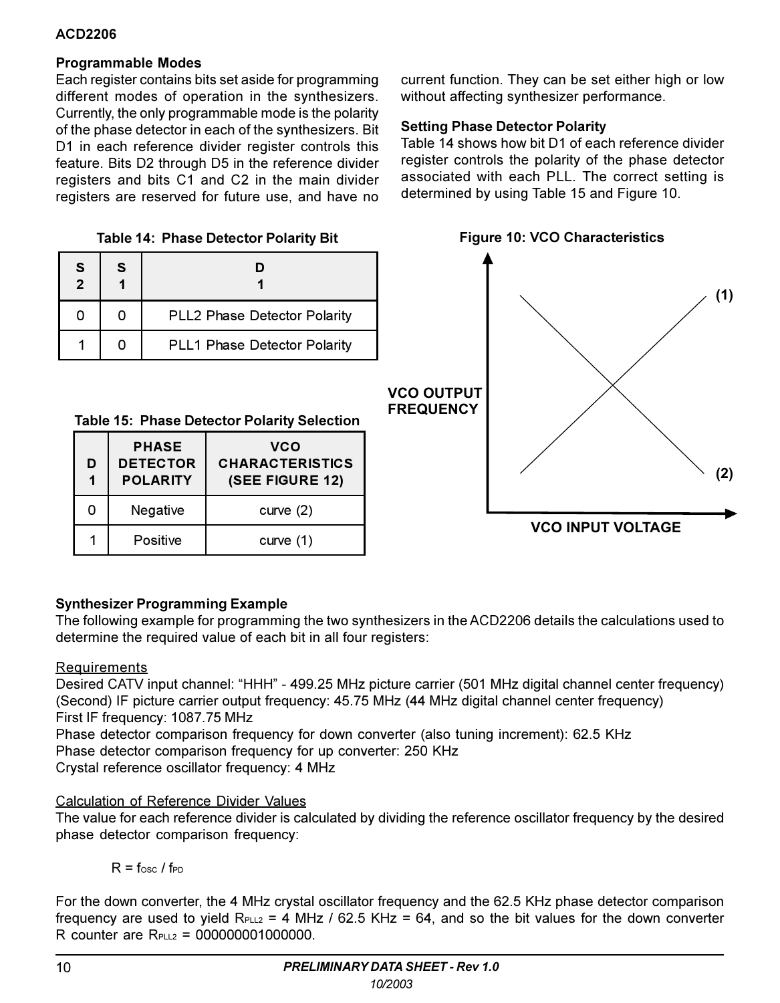# **Programmable Modes**

Each register contains bits set aside for programming different modes of operation in the synthesizers. Currently, the only programmable mode is the polarity of the phase detector in each of the synthesizers. Bit D1 in each reference divider register controls this feature. Bits D2 through D5 in the reference divider registers and bits C1 and C2 in the main divider registers are reserved for future use, and have no

Table 14: Phase Detector Polarity Bit

| S<br>$\overline{2}$ | S |                                     |
|---------------------|---|-------------------------------------|
|                     |   | <b>PLL2 Phase Detector Polarity</b> |
|                     |   | PLL1 Phase Detector Polarity        |

Table 15: Phase Detector Polarity Selection

| D<br>1 | <b>PHASE</b><br><b>DETECTOR</b><br><b>POLARITY</b> | vco<br><b>CHARACTERISTICS</b><br>(SEE FIGURE 12) |
|--------|----------------------------------------------------|--------------------------------------------------|
| ი      | Negative                                           | curve $(2)$                                      |
|        | Positive                                           | curve $(1)$                                      |

current function. They can be set either high or low without affecting synthesizer performance.

# **Setting Phase Detector Polarity**

Table 14 shows how bit D1 of each reference divider register controls the polarity of the phase detector associated with each PLL. The correct setting is determined by using Table 15 and Figure 10.



# **Synthesizer Programming Example**

The following example for programming the two synthesizers in the ACD2206 details the calculations used to determine the required value of each bit in all four registers:

# **Requirements**

Desired CATV input channel: "HHH" - 499.25 MHz picture carrier (501 MHz digital channel center frequency) (Second) IF picture carrier output frequency: 45.75 MHz (44 MHz digital channel center frequency) First IF frequency: 1087.75 MHz

Phase detector comparison frequency for down converter (also tuning increment): 62.5 KHz Phase detector comparison frequency for up converter: 250 KHz

Crystal reference oscillator frequency: 4 MHz

# Calculation of Reference Divider Values

The value for each reference divider is calculated by dividing the reference oscillator frequency by the desired phase detector comparison frequency:

 $R = f_{\text{osc}}/f_{\text{PD}}$ 

For the down converter, the 4 MHz crystal oscillator frequency and the 62.5 KHz phase detector comparison frequency are used to yield  $R_{PL2} = 4$  MHz / 62.5 KHz = 64, and so the bit values for the down converter  $R$  counter are  $R_{\text{max}} = 000000001000000$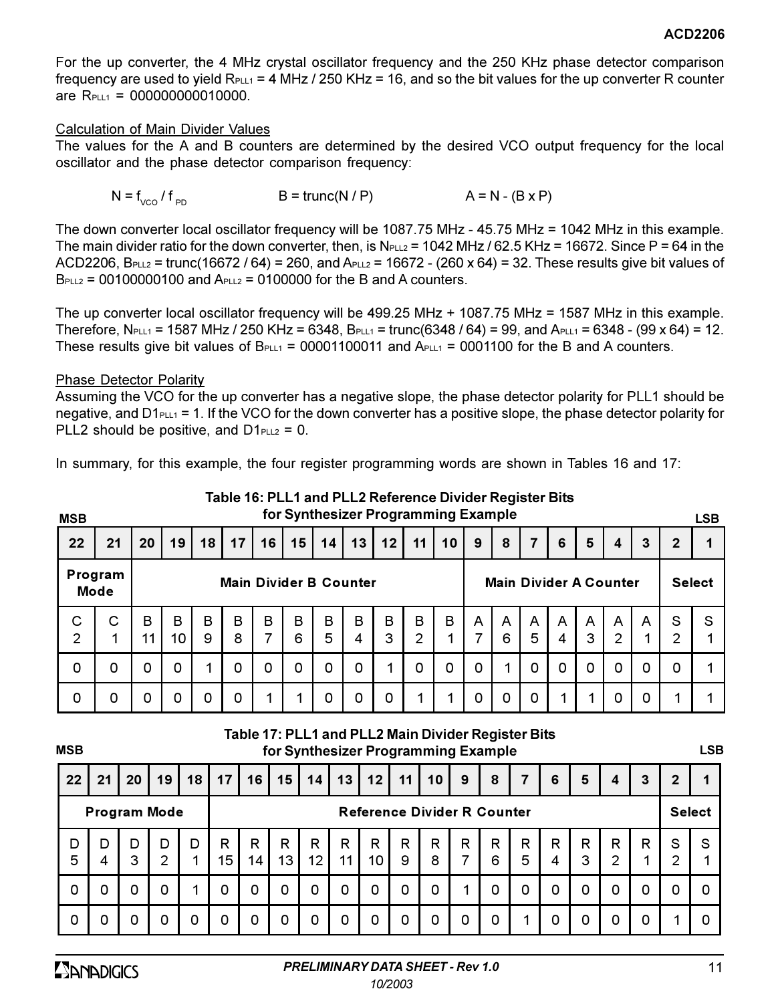For the up converter, the 4 MHz crystal oscillator frequency and the 250 KHz phase detector comparison frequency are used to yield  $R_{PLL1} = 4 MHz$  / 250 KHz = 16, and so the bit values for the up converter R counter are  $R_{PLL1} = 000000000010000$ .

### Calculation of Main Divider Values

The values for the A and B counters are determined by the desired VCO output frequency for the local oscillator and the phase detector comparison frequency:

$$
N = f_{VCO} / f_{PD}
$$
 
$$
B = \text{trunc}(N / P)
$$
 
$$
A = N - (B \times P)
$$

The down converter local oscillator frequency will be 1087.75 MHz - 45.75 MHz = 1042 MHz in this example. The main divider ratio for the down converter, then, is  $N_{PLL2} = 1042$  MHz / 62.5 KHz = 16672. Since P = 64 in the ACD2206, B<sub>PLL2</sub> = trunc(16672/64) = 260, and A<sub>PLL2</sub> = 16672 - (260 x 64) = 32. These results give bit values of  $B_{PLL2} = 00100000100$  and  $A_{PLL2} = 0100000$  for the B and A counters.

The up converter local oscillator frequency will be 499.25 MHz + 1087.75 MHz = 1587 MHz in this example. Therefore,  $N_{PLL1}$  = 1587 MHz / 250 KHz = 6348,  $B_{PLL1}$  = trunc(6348 / 64) = 99, and  $A_{PLL1}$  = 6348 - (99 x 64) = 12. These results give bit values of  $B_{PLL1} = 00001100011$  and  $A_{PLL1} = 0001100$  for the B and A counters.

### **Phase Detector Polarity**

Assuming the VCO for the up converter has a negative slope, the phase detector polarity for PLL1 should be negative, and  $D1_{PLL1} = 1$ . If the VCO for the down converter has a positive slope, the phase detector polarity for PLL2 should be positive, and  $D1_{PLL2} = 0$ .

In summary, for this example, the four register programming words are shown in Tables 16 and 17:

| <b>MSB</b>                                              |        |         |         |                 |        |                 |                 |        |                 | for Synthesizer Programming Example |        |                               |        |        |               |        |                   |                     |   |                     | <b>LSB</b> |
|---------------------------------------------------------|--------|---------|---------|-----------------|--------|-----------------|-----------------|--------|-----------------|-------------------------------------|--------|-------------------------------|--------|--------|---------------|--------|-------------------|---------------------|---|---------------------|------------|
| 22                                                      | 21     | 20      | 19      | 18 <sup>1</sup> | 17     | 16 <sup>1</sup> | 15 <sub>1</sub> | 14     | 13 <sup>1</sup> | $12$   11                           |        | 10                            | 9      | 8      | 7             | 6      | 5                 | 4                   | 3 | $\mathbf{2}$        | 1          |
| Program<br><b>Main Divider B Counter</b><br><b>Mode</b> |        |         |         |                 |        |                 |                 |        |                 |                                     |        | <b>Main Divider A Counter</b> |        |        | <b>Select</b> |        |                   |                     |   |                     |            |
| С<br>$\overline{2}$                                     | С<br>1 | B<br>11 | B<br>10 | B<br>9          | В<br>8 | B<br>7          | в<br>6          | В<br>5 | B<br>4          | B<br>3                              | в<br>2 | B<br>1                        | A<br>7 | A<br>6 | A<br>5        | A<br>4 | $\mathsf{A}$<br>3 | A<br>$\overline{2}$ | A | S<br>$\overline{2}$ | S          |
| 0                                                       | 0      | 0       | 0       |                 | 0      | 0               | 0               | 0      | 0               | 1                                   | 0      | 0                             | 0      | 1      | 0             | 0      | $\Omega$          | 0                   | 0 | 0                   |            |
| 0                                                       | 0      | 0       | 0       | 0               | 0      | 1               |                 | 0      | 0               | 0                                   | 4      | 1                             | 0      | 0      | 0             | 1      | 1                 | 0                   | 0 |                     |            |

Table 16: PLL1 and PLL2 Reference Divider Register Bits for Synthesizer Programming Example

**MSB** 

### Table 17: PLL1 and PLL2 Main Divider Register Bits for Synthesizer Programming Example

**LSB** 

| 22     | 21                  | 20     | 19                  | 18 | 17 I    | 16                                 | 15 <sup>1</sup> | 14                     | 13 <sup>1</sup> |         | $12$   11 | 10 <sup>1</sup> | 9      | 8      | $\overline{7}$ | 6      | 5      | 4      | 3      | $\overline{2}$      |   |
|--------|---------------------|--------|---------------------|----|---------|------------------------------------|-----------------|------------------------|-----------------|---------|-----------|-----------------|--------|--------|----------------|--------|--------|--------|--------|---------------------|---|
|        | <b>Program Mode</b> |        |                     |    |         | <b>Reference Divider R Counter</b> |                 |                        |                 |         |           |                 |        |        | <b>Select</b>  |        |        |        |        |                     |   |
| D<br>5 | D<br>4              | D<br>3 | D<br>$\overline{2}$ | D  | R<br>15 | R<br>14 <sub>1</sub>               | R<br>13         | R<br>$12 \overline{ }$ | R<br>11         | R<br>10 | R<br>9    | R<br>8          | R<br>7 | R<br>6 | R<br>5         | R<br>4 | R<br>3 | R<br>っ | R<br>◢ | S<br>$\overline{2}$ | S |
| 0      | 0                   |        | $\Omega$            |    | 0       | 0                                  | 0               | 0                      | 0               |         | 0         | 0               | 1      |        | 0              | 0      | 0      |        | 0      | 0                   |   |
| 0      | 0                   | 0      | 0                   | 0  | 0       | 0                                  | 0               | 0                      | 0               | 0       | 0         | 0               | 0      |        | 1              | 0      | 0      |        | 0      | 1                   |   |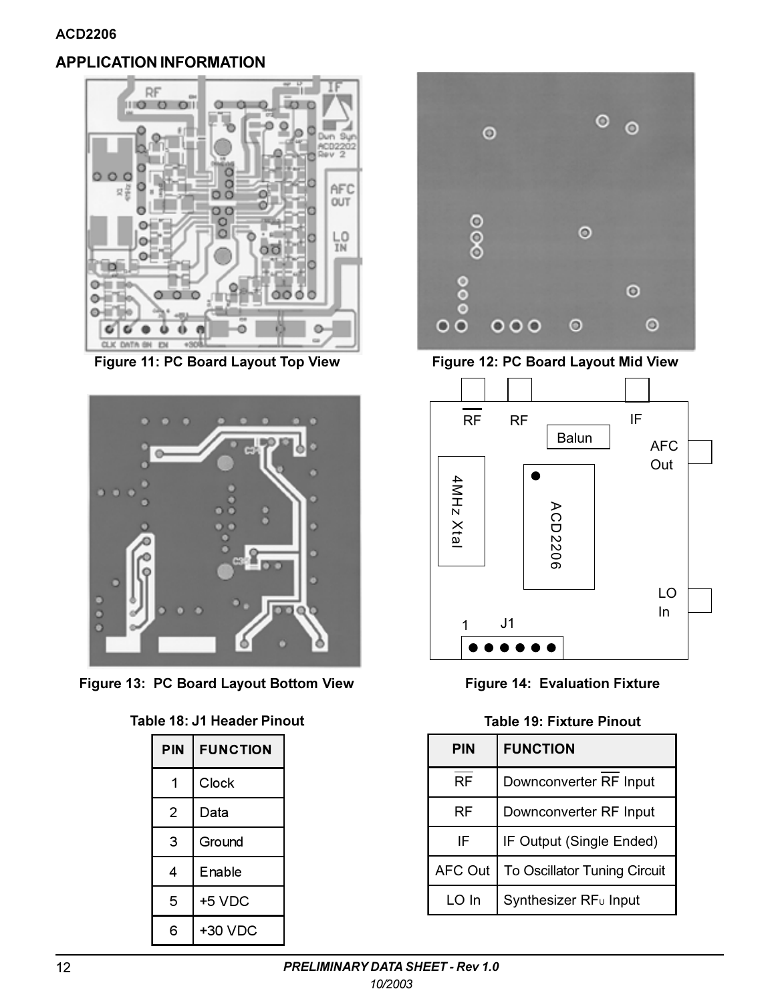# **APPLICATION INFORMATION**



Figure 11: PC Board Layout Top View



Figure 13: PC Board Layout Bottom View

|  |  | Table 18: J1 Header Pinout |  |
|--|--|----------------------------|--|
|--|--|----------------------------|--|

| PIN | <b>FUNCTION</b> |
|-----|-----------------|
|     | Clock           |
| 2   | Data            |
| 3   | Ground          |
| 4   | Enable          |
| 5   | +5 VDC          |
| 6   | +30 VDC         |



Figure 12: PC Board Layout Mid View



**Figure 14: Evaluation Fixture** 

|  |  | Table 19: Fixture Pinout |  |
|--|--|--------------------------|--|
|--|--|--------------------------|--|

| <b>PIN</b>     | <b>FUNCTION</b>                   |  |  |  |  |
|----------------|-----------------------------------|--|--|--|--|
| RF             | Downconverter RF Input            |  |  |  |  |
| <b>RF</b>      | Downconverter RF Input            |  |  |  |  |
| ΙF             | IF Output (Single Ended)          |  |  |  |  |
| <b>AFC Out</b> | To Oscillator Tuning Circuit      |  |  |  |  |
| LO In          | Synthesizer RF <sub>u</sub> Input |  |  |  |  |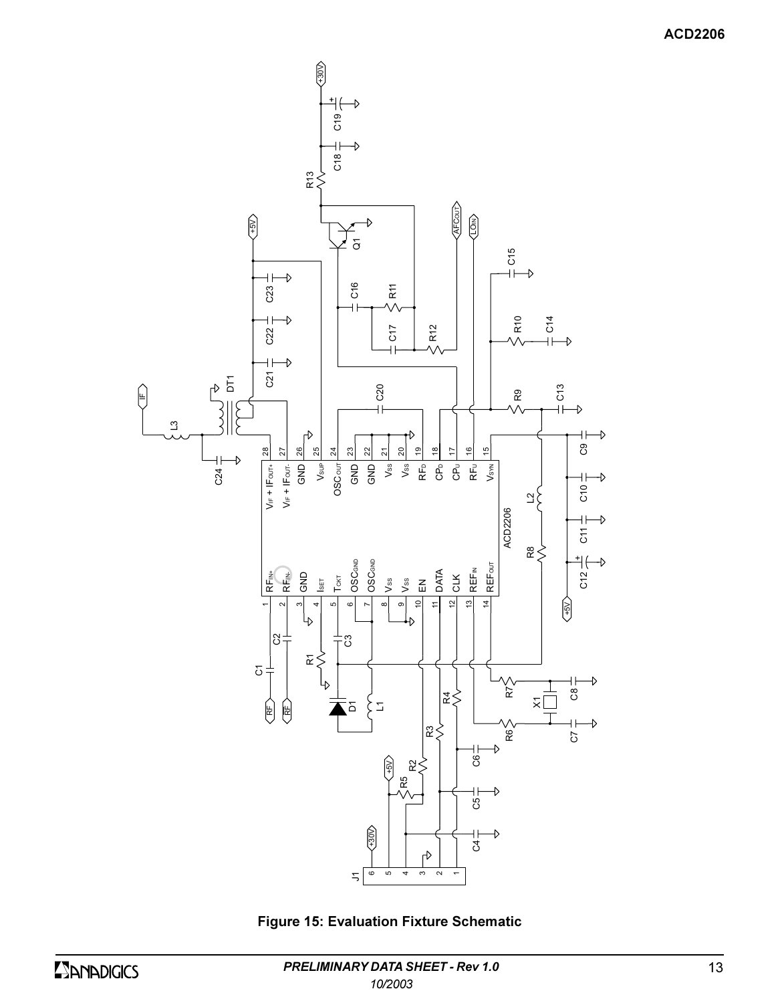

**Figure 15: Evaluation Fixture Schematic**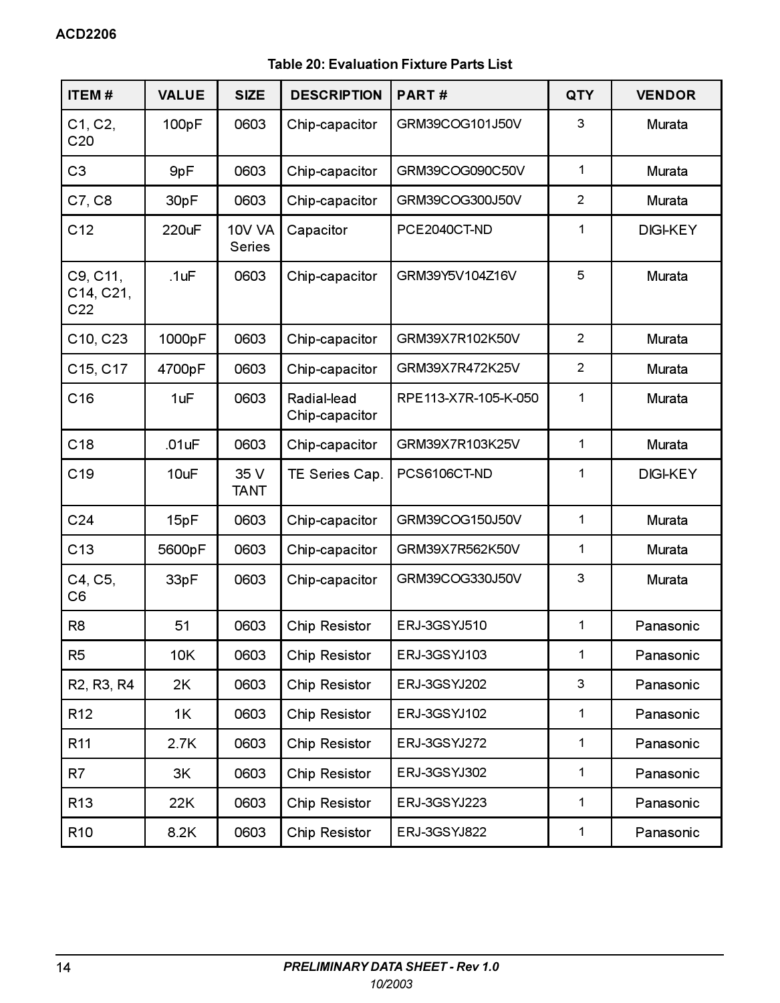# Table 20: Evaluation Fixture Parts List

| ITEM#                                            | <b>VALUE</b> | <b>SIZE</b>                    | <b>DESCRIPTION</b>            | PART#                | QTY            | <b>VENDOR</b>   |  |
|--------------------------------------------------|--------------|--------------------------------|-------------------------------|----------------------|----------------|-----------------|--|
| C1, C2,<br>C <sub>20</sub>                       | 100pF        | 0603                           | Chip-capacitor                | GRM39COG101J50V      | 3              | Murata          |  |
| CЗ                                               | 9pF          | 0603                           | Chip-capacitor                | GRM39COG090C50V      | $\mathbf{1}$   | Murata          |  |
| C7, C8                                           | 30pF         | 0603                           | Chip-capacitor                | GRM39COG300J50V      | $\overline{2}$ | Murata          |  |
| C12                                              | 220uF        | <b>10V VA</b><br><b>Series</b> | Capacitor                     | PCE2040CT-ND         | $\mathbf{1}$   | <b>DIGI-KEY</b> |  |
| C9, C11,<br>C14, C21,<br>C22                     | .1uF         | 0603                           | Chip-capacitor                | GRM39Y5V104Z16V      | 5              | Murata          |  |
| C10, C23                                         | 1000pF       | 0603                           | Chip-capacitor                | GRM39X7R102K50V      | 2              | Murata          |  |
| C15, C17                                         | 4700pF       | 0603                           | Chip-capacitor                | GRM39X7R472K25V      | $\overline{2}$ | Murata          |  |
| C16                                              | 1uF          | 0603                           | Radial-lead<br>Chip-capacitor | RPE113-X7R-105-K-050 | 1              | Murata          |  |
| C18                                              | .01uF        | 0603                           | Chip-capacitor                | GRM39X7R103K25V      | $\mathbf{1}$   | Murata          |  |
| C <sub>19</sub>                                  | 10uF         | 35 V<br><b>TANT</b>            | TE Series Cap.                | PCS6106CT-ND         | $\mathbf{1}$   | DIGI-KEY        |  |
| C <sub>24</sub>                                  | 15pF         | 0603                           | Chip-capacitor                | GRM39COG150J50V      | $\mathbf{1}$   | Murata          |  |
| C13                                              | 5600pF       | 0603                           | Chip-capacitor                | GRM39X7R562K50V      | $\mathbf{1}$   | Murata          |  |
| C4, C5,<br>C <sub>6</sub>                        | 33pF         | 0603                           | Chip-capacitor                | GRM39COG330J50V      | 3              | Murata          |  |
| R <sub>8</sub>                                   | 51           | 0603                           | Chip Resistor                 | ERJ-3GSYJ510         | $\mathbf{1}$   | Panasonic       |  |
| R <sub>5</sub>                                   | <b>10K</b>   | 0603                           | Chip Resistor                 | ERJ-3GSYJ103         | $\mathbf{1}$   | Panasonic       |  |
| R <sub>2</sub> , R <sub>3</sub> , R <sub>4</sub> | 2K           | 0603                           | Chip Resistor                 | ERJ-3GSYJ202         | 3              | Panasonic       |  |
| R12                                              | 1K           | 0603                           | Chip Resistor                 | ERJ-3GSYJ102         | 1              | Panasonic       |  |
| R <sub>11</sub>                                  | 2.7K         | 0603                           | Chip Resistor                 | ERJ-3GSYJ272         | $\mathbf{1}$   | Panasonic       |  |
| R7                                               | 3K           | 0603                           | Chip Resistor                 | ERJ-3GSYJ302         | 1              | Panasonic       |  |
| R <sub>13</sub>                                  | 22K          | 0603                           | Chip Resistor                 | ERJ-3GSYJ223         | $\mathbf{1}$   | Panasonic       |  |
| R <sub>10</sub>                                  | 8.2K         | 0603                           | Chip Resistor                 | ERJ-3GSYJ822         | $\mathbf{1}$   | Panasonic       |  |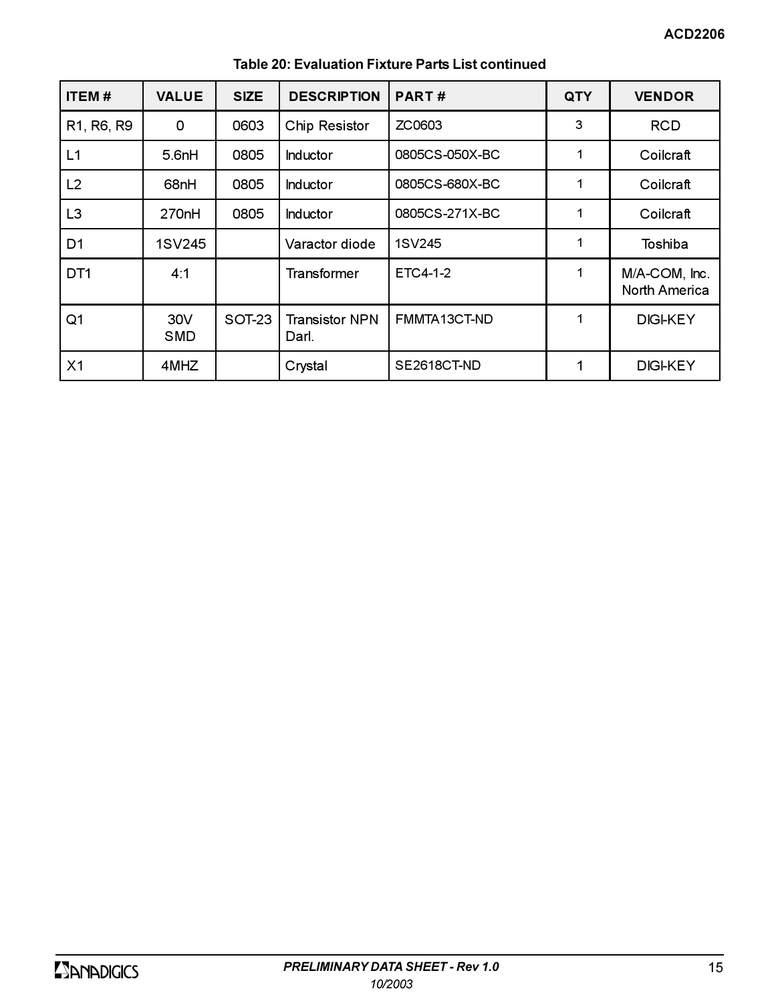| <b>ITEM#</b>    | <b>VALUE</b>       | <b>SIZE</b> | <b>DESCRIPTION</b>             | PART#          | QTY | <b>VENDOR</b>                         |
|-----------------|--------------------|-------------|--------------------------------|----------------|-----|---------------------------------------|
| R1, R6, R9      | 0                  | 0603        | Chip Resistor                  | ZC0603         | 3   | <b>RCD</b>                            |
| L1              | 5.6 <sub>nh</sub>  | 0805        | <b>Inductor</b>                | 0805CS-050X-BC |     | Coilcraft                             |
| L <sub>2</sub>  | 68nH               | 0805        | <b>Inductor</b>                | 0805CS-680X-BC |     | Coilcraft                             |
| L <sub>3</sub>  | 270 <sub>n</sub> H | 0805        | <b>Inductor</b>                | 0805CS-271X-BC |     | Coilcraft                             |
| D <sub>1</sub>  | 1SV245             |             | Varactor diode                 | 1SV245         |     | Toshiba                               |
| DT <sub>1</sub> | 4:1                |             | <b>Transformer</b>             | ETC4-1-2       |     | M/A-COM, Inc.<br><b>North America</b> |
| Q <sub>1</sub>  | 30V<br>SMD         | SOT-23      | <b>Transistor NPN</b><br>Darl. | FMMTA13CT-ND   |     | <b>DIGI-KEY</b>                       |
| X <sub>1</sub>  | 4MHZ               |             | Crystal                        | SE2618CT-ND    |     | <b>DIGI-KEY</b>                       |

# Table 20: Evaluation Fixture Parts List continued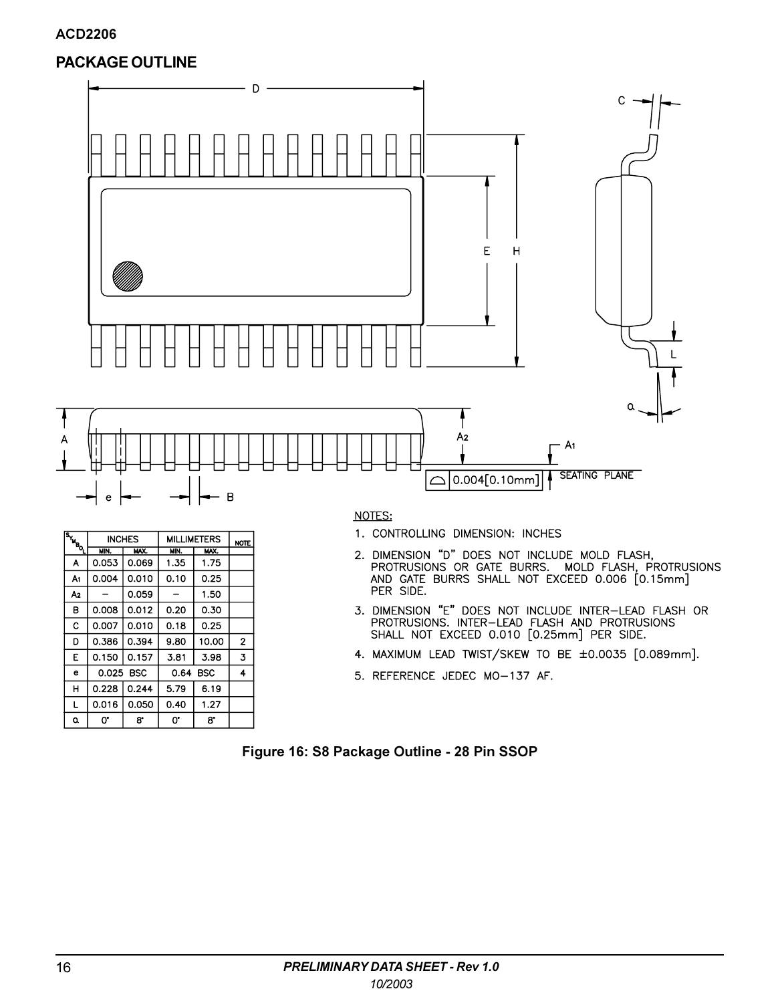# **PACKAGE OUTLINE**

**INCHES** 

MIN. A 0.053

0.008

0.150

0.016

 $\mathbf{O}^*$ 

0.025 BSC

 $A<sub>1</sub>$  $0.004$ 

A<sub>2</sub>  $\overline{\phantom{a}}$ 

 $\overline{\mathsf{B}}$ 

 $\mathbf{C}$ 0.007

D 0.386

 $\overline{E}$ 

 $\mathbf{e}$ 

 $H$ 0.228

L

 $\pmb{\alpha}$ 

 $MX$ 

0.069

0.010

0.059

 $0.012$ 

0.010

 $0.394$ 

 $0.157$ 

 $0.244$ 

0.050

 $\mathbf{8}^{\star}$ 

**MILLIMETERS** 

MAX.

1.75

 $0.25$ 

1.50

 $0.30$ 

 $0.25$ 

 $10.00$ 

 $3.98$ 

6.19

1.27

 $8^{\circ}$ 

MIN.

1.35

 $0.10$ 

 $\equiv$ 

 $0.20$ 

 $0.18$ 

 $9.80$ 

3.81

5.79

 $0.40$ 

 $\mathbf{O}^\star$ 

0.64 BSC

**NOTE** 

 $\mathbf 2$ 

 $\overline{4}$ 



### NOTES:

- 1. CONTROLLING DIMENSION: INCHES
- 2. DIMENSION "D" DOES NOT INCLUDE MOLD FLASH,<br>PROTRUSIONS OR GATE BURRS. MOLD FLASH, PROTRUSIONS<br>AND GATE BURRS SHALL NOT EXCEED 0.006 [0.15mm] PER SIDE.
- 3. DIMENSION "E" DOES NOT INCLUDE INTER-LEAD FLASH OR<br>PROTRUSIONS. INTER-LEAD FLASH AND PROTRUSIONS<br>SHALL NOT EXCEED 0.010 [0.25mm] PER SIDE.
- 4. MAXIMUM LEAD TWIST/SKEW TO BE ±0.0035 [0.089mm].
- 5. REFERENCE JEDEC MO-137 AF.

### Figure 16: S8 Package Outline - 28 Pin SSOP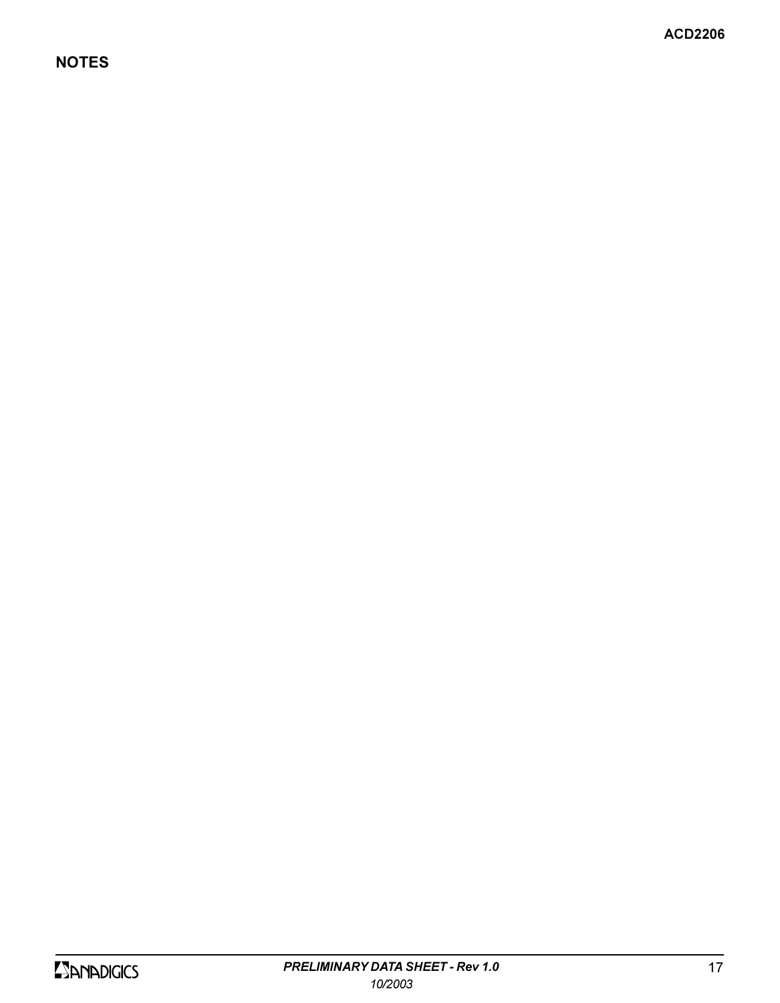# **NOTES**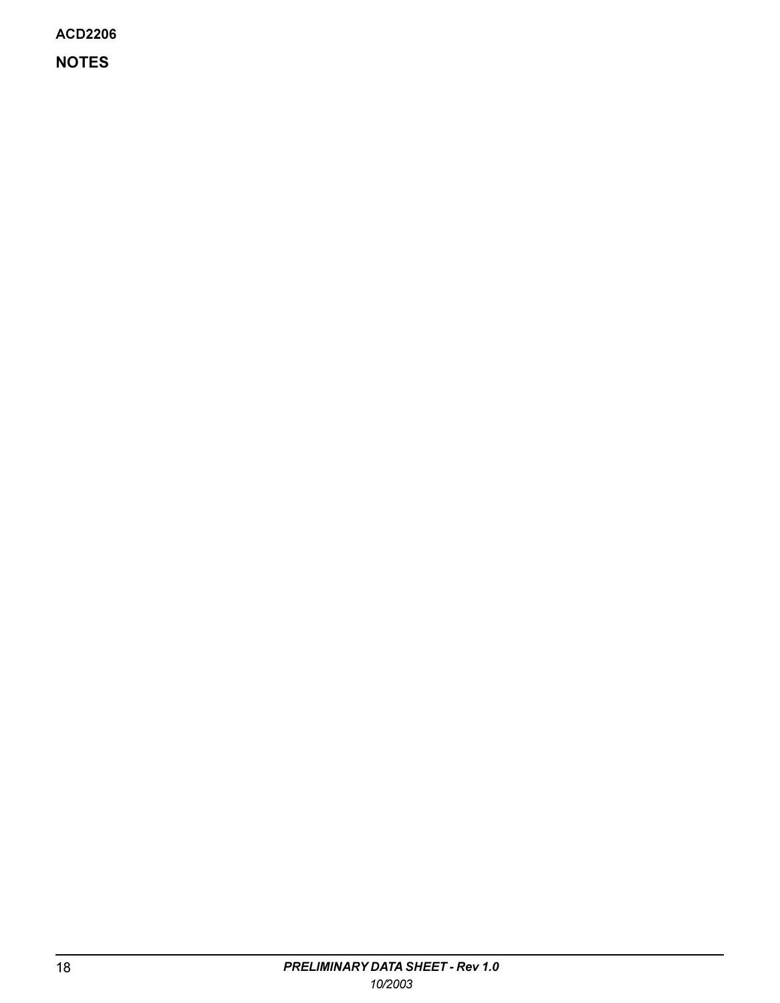**NOTES**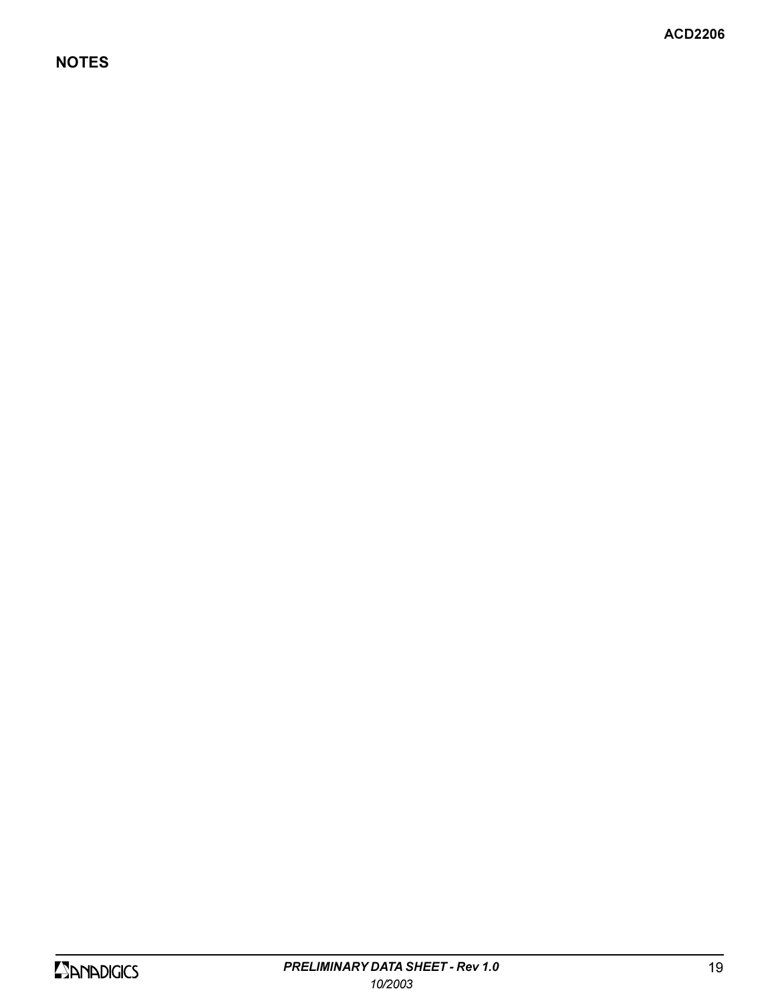# **NOTES**